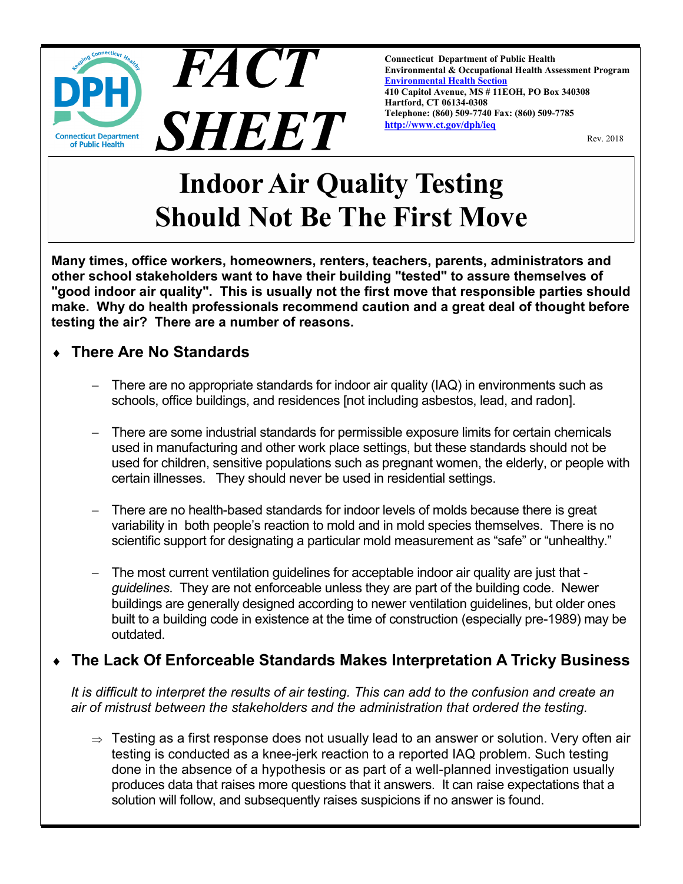

**Connecticut Department of Public Health Environmental & Occupational Health Assessment Program [Environmental Health Section](http://www.ct.gov/dph/taxonomy/ct_taxonomy.asp?DLN=46944) 410 Capitol Avenue, MS # 11EOH, PO Box 340308 Hartford, CT 06134-0308 Telephone: (860) 509-7740 Fax: (860) 509-7785 [http://www.ct.gov/dph/ieq](http://www.ct.gov/dph/IEQ)**

Rev. 2018

# **Indoor Air Quality Testing Should Not Be The First Move**

**Many times, office workers, homeowners, renters, teachers, parents, administrators and other school stakeholders want to have their building "tested" to assure themselves of "good indoor air quality". This is usually not the first move that responsible parties should make. Why do health professionals recommend caution and a great deal of thought before testing the air? There are a number of reasons.**

## **There Are No Standards**

- There are no appropriate standards for indoor air quality (IAQ) in environments such as schools, office buildings, and residences [not including asbestos, lead, and radon].
- There are some industrial standards for permissible exposure limits for certain chemicals used in manufacturing and other work place settings, but these standards should not be used for children, sensitive populations such as pregnant women, the elderly, or people with certain illnesses. They should never be used in residential settings.
- There are no health-based standards for indoor levels of molds because there is great variability in both people's reaction to mold and in mold species themselves. There is no scientific support for designating a particular mold measurement as "safe" or "unhealthy."
- The most current ventilation guidelines for acceptable indoor air quality are just that *guidelines*. They are not enforceable unless they are part of the building code. Newer buildings are generally designed according to newer ventilation guidelines, but older ones built to a building code in existence at the time of construction (especially pre-1989) may be outdated.

#### **The Lack Of Enforceable Standards Makes Interpretation A Tricky Business**

*It is difficult to interpret the results of air testing. This can add to the confusion and create an air of mistrust between the stakeholders and the administration that ordered the testing.*

 $\Rightarrow$  Testing as a first response does not usually lead to an answer or solution. Very often air testing is conducted as a knee-jerk reaction to a reported IAQ problem. Such testing done in the absence of a hypothesis or as part of a well-planned investigation usually produces data that raises more questions that it answers. It can raise expectations that a solution will follow, and subsequently raises suspicions if no answer is found.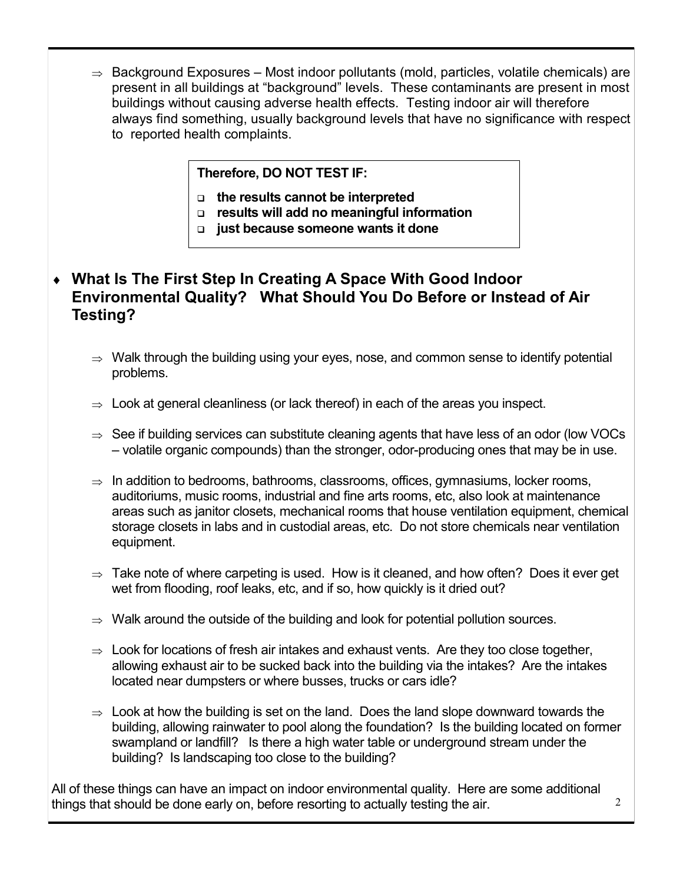$\Rightarrow$  Background Exposures – Most indoor pollutants (mold, particles, volatile chemicals) are present in all buildings at "background" levels. These contaminants are present in most buildings without causing adverse health effects. Testing indoor air will therefore always find something, usually background levels that have no significance with respect to reported health complaints.

#### **Therefore, DO NOT TEST IF:**

- **the results cannot be interpreted**
- **results will add no meaningful information**
- **just because someone wants it done**

#### **What Is The First Step In Creating A Space With Good Indoor Environmental Quality? What Should You Do Before or Instead of Air Testing?**

- $\Rightarrow$  Walk through the building using your eyes, nose, and common sense to identify potential problems.
- $\Rightarrow$  Look at general cleanliness (or lack thereof) in each of the areas you inspect.
- $\Rightarrow$  See if building services can substitute cleaning agents that have less of an odor (low VOCs – volatile organic compounds) than the stronger, odor-producing ones that may be in use.
- $\Rightarrow$  In addition to bedrooms, bathrooms, classrooms, offices, gymnasiums, locker rooms, auditoriums, music rooms, industrial and fine arts rooms, etc, also look at maintenance areas such as janitor closets, mechanical rooms that house ventilation equipment, chemical storage closets in labs and in custodial areas, etc. Do not store chemicals near ventilation equipment.
- $\Rightarrow$  Take note of where carpeting is used. How is it cleaned, and how often? Does it ever get wet from flooding, roof leaks, etc, and if so, how quickly is it dried out?
- $\Rightarrow$  Walk around the outside of the building and look for potential pollution sources.
- $\Rightarrow$  Look for locations of fresh air intakes and exhaust vents. Are they too close together, allowing exhaust air to be sucked back into the building via the intakes? Are the intakes located near dumpsters or where busses, trucks or cars idle?
- $\Rightarrow$  Look at how the building is set on the land. Does the land slope downward towards the building, allowing rainwater to pool along the foundation? Is the building located on former swampland or landfill? Is there a high water table or underground stream under the building? Is landscaping too close to the building?

All of these things can have an impact on indoor environmental quality. Here are some additional things that should be done early on, before resorting to actually testing the air.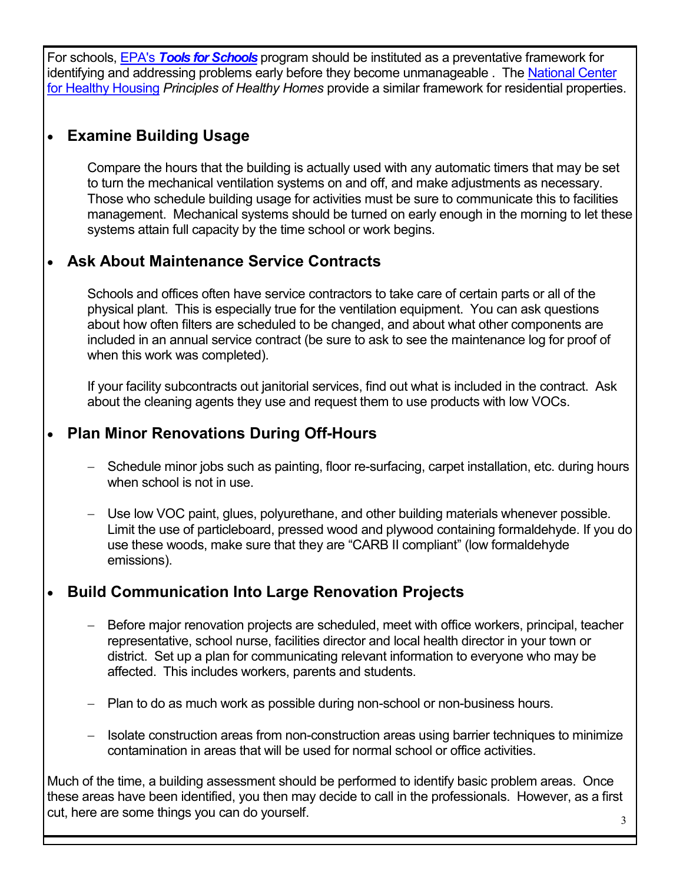For schools, EPA's *[Tools for Schools](https://www.epa.gov/iaq-schools/take-action-improve-indoor-air-quality-schools)* program should be instituted as a preventative framework for identifying and addressing problems early before they become unmanageable. The National Center [for Healthy Housing](http://nchh.org/information-and-evidence/learn-about-healthy-housing/healthy-homes-principles/) *Principles of Healthy Homes* provide a similar framework for residential properties.

## **Examine Building Usage**

Compare the hours that the building is actually used with any automatic timers that may be set to turn the mechanical ventilation systems on and off, and make adjustments as necessary. Those who schedule building usage for activities must be sure to communicate this to facilities management. Mechanical systems should be turned on early enough in the morning to let these systems attain full capacity by the time school or work begins.

## **Ask About Maintenance Service Contracts**

Schools and offices often have service contractors to take care of certain parts or all of the physical plant. This is especially true for the ventilation equipment. You can ask questions about how often filters are scheduled to be changed, and about what other components are included in an annual service contract (be sure to ask to see the maintenance log for proof of when this work was completed).

If your facility subcontracts out janitorial services, find out what is included in the contract. Ask about the cleaning agents they use and request them to use products with low VOCs.

#### **Plan Minor Renovations During Off-Hours**

- Schedule minor jobs such as painting, floor re-surfacing, carpet installation, etc. during hours when school is not in use.
- Use low VOC paint, glues, polyurethane, and other building materials whenever possible. Limit the use of particleboard, pressed wood and plywood containing formaldehyde. If you do use these woods, make sure that they are "CARB II compliant" (low formaldehyde emissions).

#### **Build Communication Into Large Renovation Projects**

- Before major renovation projects are scheduled, meet with office workers, principal, teacher representative, school nurse, facilities director and local health director in your town or district. Set up a plan for communicating relevant information to everyone who may be affected. This includes workers, parents and students.
- Plan to do as much work as possible during non-school or non-business hours.
- Isolate construction areas from non-construction areas using barrier techniques to minimize contamination in areas that will be used for normal school or office activities.

Much of the time, a building assessment should be performed to identify basic problem areas. Once these areas have been identified, you then may decide to call in the professionals. However, as a first cut, here are some things you can do yourself.  $\frac{3}{3}$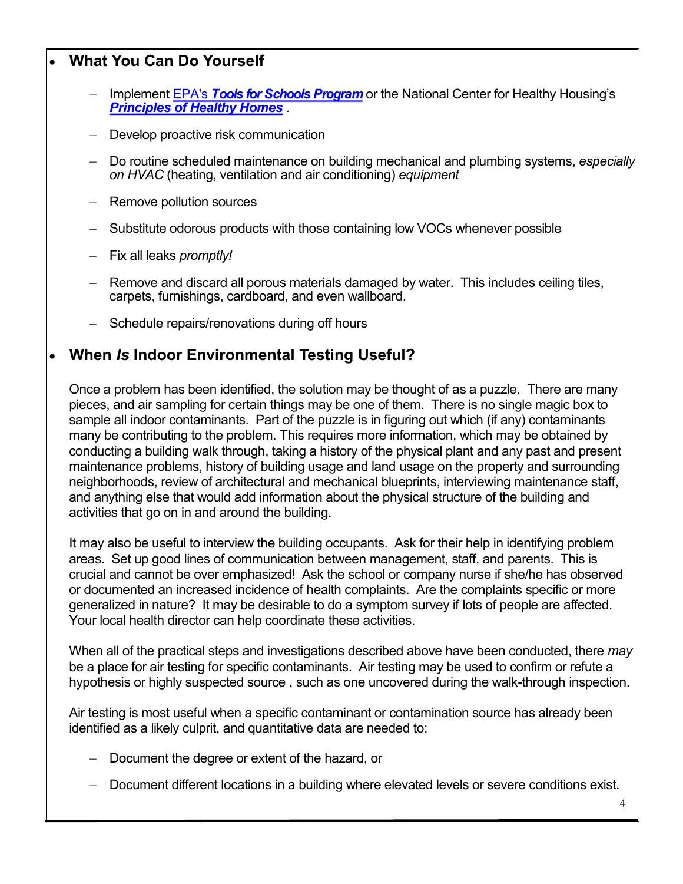## **What You Can Do Yourself**

- Implement EPA's *[Tools for Schools Program](https://www.epa.gov/iaq-schools/take-action-improve-indoor-air-quality-schools)* or the National Center for Healthy Housing's *[Principles of Healthy Homes](http://nchh.org/information-and-evidence/learn-about-healthy-housing/healthy-homes-principles/)* .
- Develop proactive risk communication
- Do routine scheduled maintenance on building mechanical and plumbing systems, *especially on HVAC* (heating, ventilation and air conditioning) *equipment*
- Remove pollution sources
- Substitute odorous products with those containing low VOCs whenever possible
- Fix all leaks *promptly!*
- Remove and discard all porous materials damaged by water. This includes ceiling tiles, carpets, furnishings, cardboard, and even wallboard.
- Schedule repairs/renovations during off hours

#### **When** *Is* **Indoor Environmental Testing Useful?**

Once a problem has been identified, the solution may be thought of as a puzzle. There are many pieces, and air sampling for certain things may be one of them. There is no single magic box to sample all indoor contaminants. Part of the puzzle is in figuring out which (if any) contaminants many be contributing to the problem. This requires more information, which may be obtained by conducting a building walk through, taking a history of the physical plant and any past and present maintenance problems, history of building usage and land usage on the property and surrounding neighborhoods, review of architectural and mechanical blueprints, interviewing maintenance staff, and anything else that would add information about the physical structure of the building and activities that go on in and around the building.

It may also be useful to interview the building occupants. Ask for their help in identifying problem areas. Set up good lines of communication between management, staff, and parents. This is crucial and cannot be over emphasized! Ask the school or company nurse if she/he has observed or documented an increased incidence of health complaints. Are the complaints specific or more generalized in nature? It may be desirable to do a symptom survey if lots of people are affected. Your local health director can help coordinate these activities.

When all of the practical steps and investigations described above have been conducted, there *may* be a place for air testing for specific contaminants. Air testing may be used to confirm or refute a hypothesis or highly suspected source , such as one uncovered during the walk-through inspection.

Air testing is most useful when a specific contaminant or contamination source has already been identified as a likely culprit, and quantitative data are needed to:

- Document the degree or extent of the hazard, or
- Document different locations in a building where elevated levels or severe conditions exist.